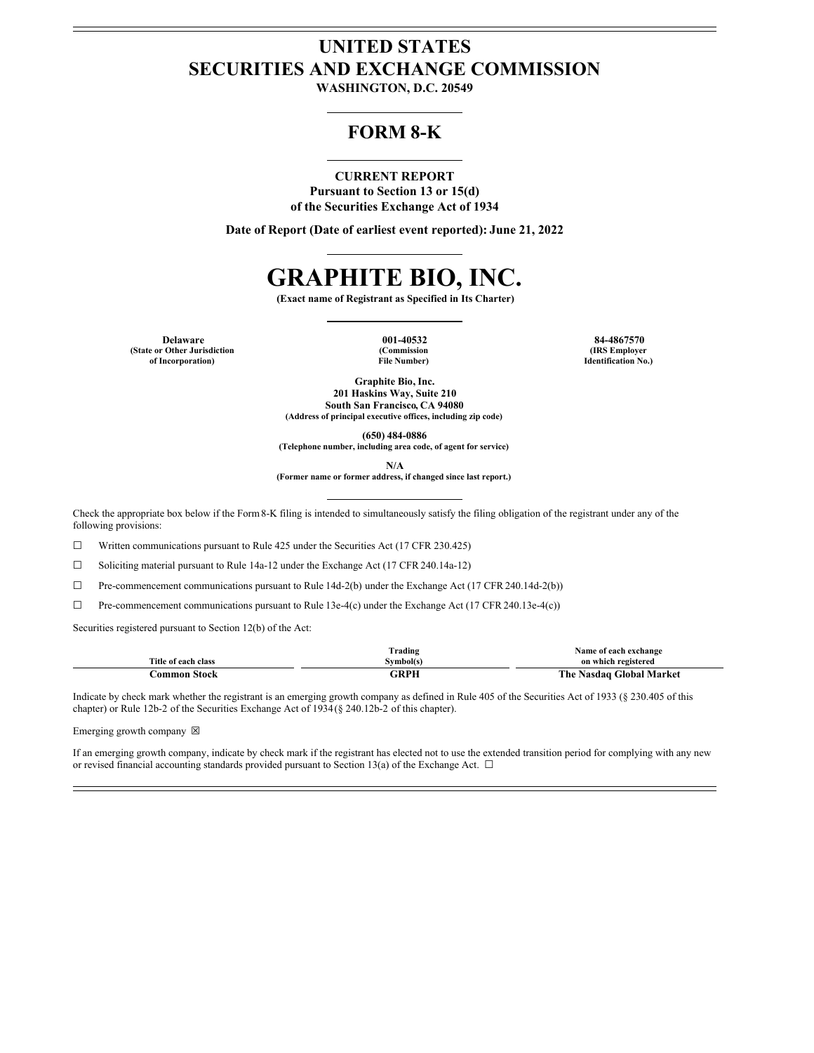## **UNITED STATES SECURITIES AND EXCHANGE COMMISSION**

**WASHINGTON, D.C. 20549**

### **FORM 8-K**

#### **CURRENT REPORT**

**Pursuant to Section 13 or 15(d) of the Securities Exchange Act of 1934**

**Date of Report (Date of earliest event reported): June 21, 2022**

# **GRAPHITE BIO, INC.**

**(Exact name of Registrant as Specified in Its Charter)**

**Delaware 001-40532 84-4867570 (State or Other Jurisdiction of Incorporation)**

**(Commission File Number)**

**(IRS Employer Identification No.)**

**Graphite Bio, Inc. 201 Haskins Way, Suite 210 South San Francisco, CA 94080 (Address of principal executive offices, including zip code)**

**(650) 484-0886 (Telephone number, including area code, of agent for service)**

**N/A**

**(Former name or former address, if changed since last report.)**

Check the appropriate box below if the Form8-K filing is intended to simultaneously satisfy the filing obligation of the registrant under any of the following provisions:

☐ Written communications pursuant to Rule 425 under the Securities Act (17 CFR 230.425)

 $\Box$  Soliciting material pursuant to Rule 14a-12 under the Exchange Act (17 CFR 240.14a-12)

☐ Pre-commencement communications pursuant to Rule 14d-2(b) under the Exchange Act (17 CFR 240.14d-2(b))

☐ Pre-commencement communications pursuant to Rule 13e-4(c) under the Exchange Act (17 CFR 240.13e-4(c))

Securities registered pursuant to Section 12(b) of the Act:

|                     | $\sim$<br>frading | Name of each exchange         |
|---------------------|-------------------|-------------------------------|
| Title of each class | Symbol(s)         | on which registered           |
| Stock<br>'ommon     | םממי              | The .<br>Nasdaq Global Market |

Indicate by check mark whether the registrant is an emerging growth company as defined in Rule 405 of the Securities Act of 1933 (§ 230.405 of this chapter) or Rule 12b-2 of the Securities Exchange Act of 1934(§ 240.12b-2 of this chapter).

Emerging growth company  $\boxtimes$ 

If an emerging growth company, indicate by check mark if the registrant has elected not to use the extended transition period for complying with any new or revised financial accounting standards provided pursuant to Section 13(a) of the Exchange Act.  $\Box$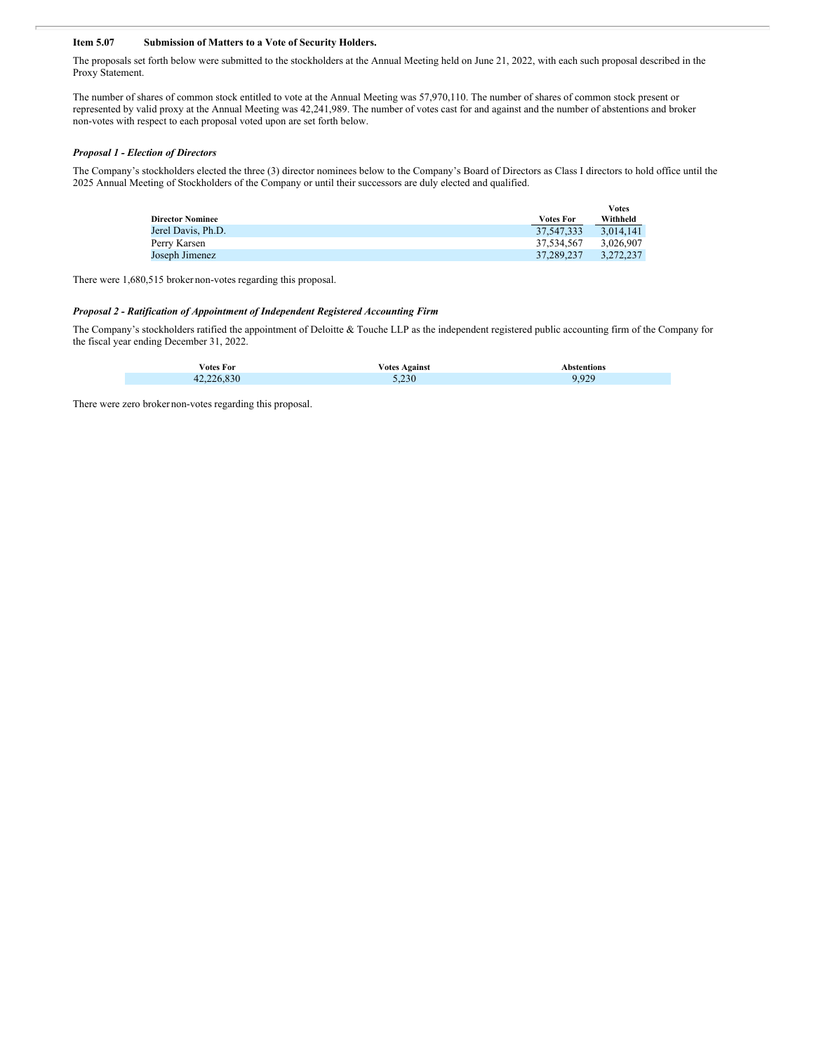#### **Item 5.07 Submission of Matters to a Vote of Security Holders.**

The proposals set forth below were submitted to the stockholders at the Annual Meeting held on June 21, 2022, with each such proposal described in the Proxy Statement.

The number of shares of common stock entitled to vote at the Annual Meeting was 57,970,110. The number of shares of common stock present or represented by valid proxy at the Annual Meeting was 42,241,989. The number of votes cast for and against and the number of abstentions and broker non-votes with respect to each proposal voted upon are set forth below.

#### *Proposal 1 - Election of Directors*

The Company's stockholders elected the three (3) director nominees below to the Company's Board of Directors as Class I directors to hold office until the 2025 Annual Meeting of Stockholders of the Company or until their successors are duly elected and qualified.

|                         |                  | <b>Votes</b> |
|-------------------------|------------------|--------------|
| <b>Director Nominee</b> | <b>Votes For</b> | Withheld     |
| Jerel Davis, Ph.D.      | 37.547.333       | 3.014.141    |
| Perry Karsen            | 37.534.567       | 3.026.907    |
| Joseph Jimenez          | 37.289.237       | 3.272.237    |

There were 1,680,515 broker non-votes regarding this proposal.

#### *Proposal 2 - Ratification of Appointment of Independent Registered Accounting Firm*

The Company's stockholders ratified the appointment of Deloitte & Touche LLP as the independent registered public accounting firm of the Company for the fiscal year ending December 31, 2022.

| <b>Votes For</b> | √otes Against | Abstentions |
|------------------|---------------|-------------|
| 42               | 5.230         | 020<br>u    |

There were zero brokernon-votes regarding this proposal.